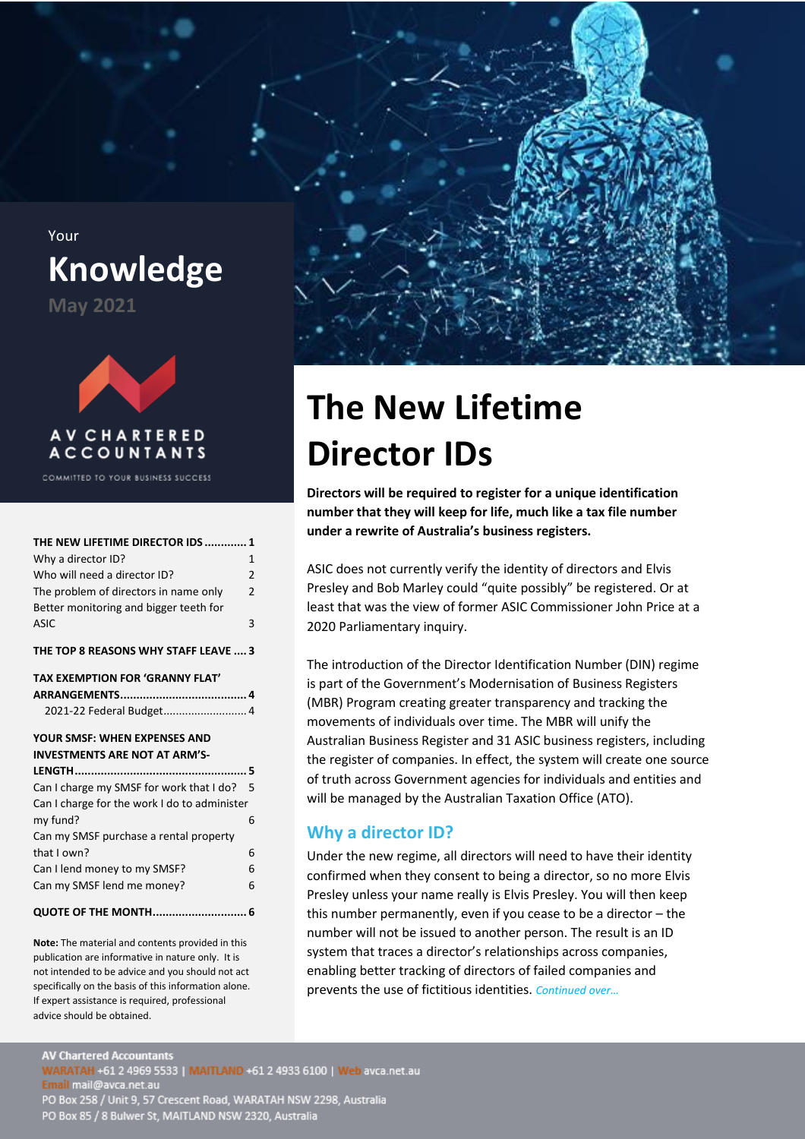<span id="page-0-0"></span>Your **Knowledge May 2021**



COMMITTED TO YOUR BUSINESS SUCCESS

| THE NEW LIFETIME DIRECTOR IDS  1             |                |
|----------------------------------------------|----------------|
| Why a director ID?                           | $\overline{1}$ |
| Who will need a director ID?                 | $\overline{2}$ |
| The problem of directors in name only        | $\overline{2}$ |
| Better monitoring and bigger teeth for       |                |
| <b>ASIC</b>                                  | 3              |
| THE TOP 8 REASONS WHY STAFF LEAVE  3         |                |
| TAX EXEMPTION FOR 'GRANNY FLAT'              |                |
|                                              |                |
| 2021-22 Federal Budget 4                     |                |
| YOUR SMSF: WHEN EXPENSES AND                 |                |
| <b>INVESTMENTS ARE NOT AT ARM'S-</b>         |                |
|                                              |                |
| Can I charge my SMSF for work that I do? 5   |                |
| Can I charge for the work I do to administer |                |
| my fund?                                     | 6              |
| Can my SMSF purchase a rental property       |                |
| that I own?                                  | 6              |
| Can I lend money to my SMSF?                 | 6              |

## [Can my SMSF lend me money?](#page-5-3) 6 **[QUOTE OF THE MONTH.............................](#page-5-4) 6**

**Note:** The material and contents provided in this publication are informative in nature only. It is not intended to be advice and you should not act specifically on the basis of this information alone. If expert assistance is required, professional advice should be obtained.



# **The New Lifetime Director IDs**

**Directors will be required to register for a unique identification number that they will keep for life, much like a tax file number under a rewrite of Australia's business registers.**

ASIC does not currently verify the identity of directors and Elvis Presley and Bob Marley could "quite possibly" be registered. Or at least that was the view of former ASIC Commissioner John Price at a 2020 Parliamentary inquiry.

The introduction of the Director Identification Number (DIN) regime is part of the Government's Modernisation of Business Registers (MBR) Program creating greater transparency and tracking the movements of individuals over time. The MBR will unify the Australian Business Register and 31 ASIC business registers, including the register of companies. In effect, the system will create one source of truth across Government agencies for individuals and entities and will be managed by the Australian Taxation Office (ATO).

## <span id="page-0-1"></span>**Why a director ID?**

Under the new regime, all directors will need to have their identity confirmed when they consent to being a director, so no more Elvis Presley unless your name really is Elvis Presley. You will then keep this number permanently, even if you cease to be a director – the number will not be issued to another person. The result is an ID system that traces a director's relationships across companies, enabling better tracking of directors of failed companies and prevents the use of fictitious identities. *Continued over…*

**AV Chartered Accountants** WARATAH +61 2 4969 5533 | MAITLAND +61 2 4933 6100 | Web avca.net.au<br>Email mail@avca.net.au<br>PO Box 258 / Unit 9, 57 Crescent Road, WARATAH NSW 2298, Australia PO Box 85 / 8 Bulwer St, MAITLAND NSW 2320, Australia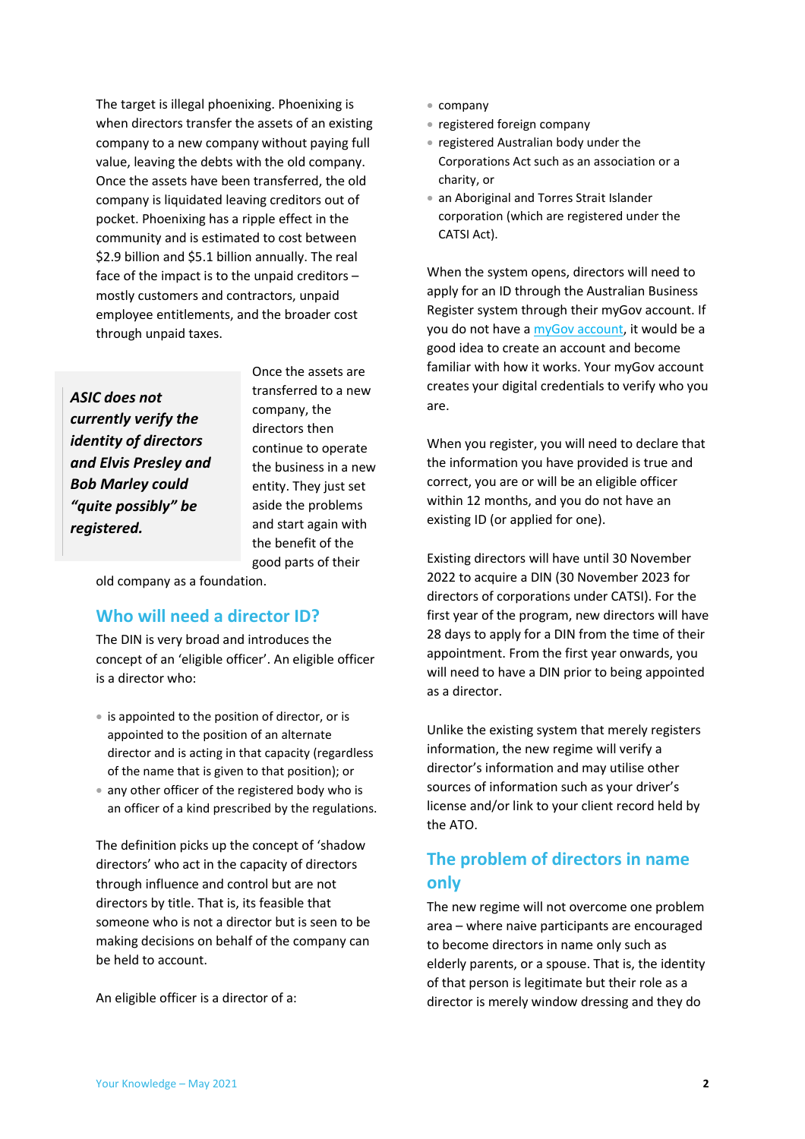The target is illegal phoenixing. Phoenixing is when directors transfer the assets of an existing company to a new company without paying full value, leaving the debts with the old company. Once the assets have been transferred, the old company is liquidated leaving creditors out of pocket. Phoenixing has a ripple effect in the community and is estimated to cost between \$2.9 billion and \$5.1 billion annually. The real face of the impact is to the unpaid creditors – mostly customers and contractors, unpaid employee entitlements, and the broader cost through unpaid taxes.

*ASIC does not currently verify the identity of directors and Elvis Presley and Bob Marley could "quite possibly" be registered.*

Once the assets are transferred to a new company, the directors then continue to operate the business in a new entity. They just set aside the problems and start again with the benefit of the good parts of their

old company as a foundation.

#### <span id="page-1-0"></span>**Who will need a director ID?**

The DIN is very broad and introduces the concept of an 'eligible officer'. An eligible officer is a director who:

- is appointed to the position of director, or is appointed to the position of an alternate director and is acting in that capacity (regardless of the name that is given to that position); or
- any other officer of the registered body who is an officer of a kind prescribed by the regulations.

The definition picks up the concept of 'shadow directors' who act in the capacity of directors through influence and control but are not directors by title. That is, its feasible that someone who is not a director but is seen to be making decisions on behalf of the company can be held to account.

An eligible officer is a director of a:

- company
- registered foreign company
- registered Australian body under the Corporations Act such as an association or a charity, or
- an Aboriginal and Torres Strait Islander corporation (which are registered under the CATSI Act).

When the system opens, directors will need to apply for an ID through the Australian Business Register system through their myGov account. If you do not have [a myGov account,](https://www.mygovid.gov.au/) it would be a good idea to create an account and become familiar with how it works. Your myGov account creates your digital credentials to verify who you are.

When you register, you will need to declare that the information you have provided is true and correct, you are or will be an eligible officer within 12 months, and you do not have an existing ID (or applied for one).

Existing directors will have until 30 November 2022 to acquire a DIN (30 November 2023 for directors of corporations under CATSI). For the first year of the program, new directors will have 28 days to apply for a DIN from the time of their appointment. From the first year onwards, you will need to have a DIN prior to being appointed as a director.

Unlike the existing system that merely registers information, the new regime will verify a director's information and may utilise other sources of information such as your driver's license and/or link to your client record held by the ATO.

## <span id="page-1-1"></span>**The problem of directors in name only**

The new regime will not overcome one problem area – where naive participants are encouraged to become directors in name only such as elderly parents, or a spouse. That is, the identity of that person is legitimate but their role as a director is merely window dressing and they do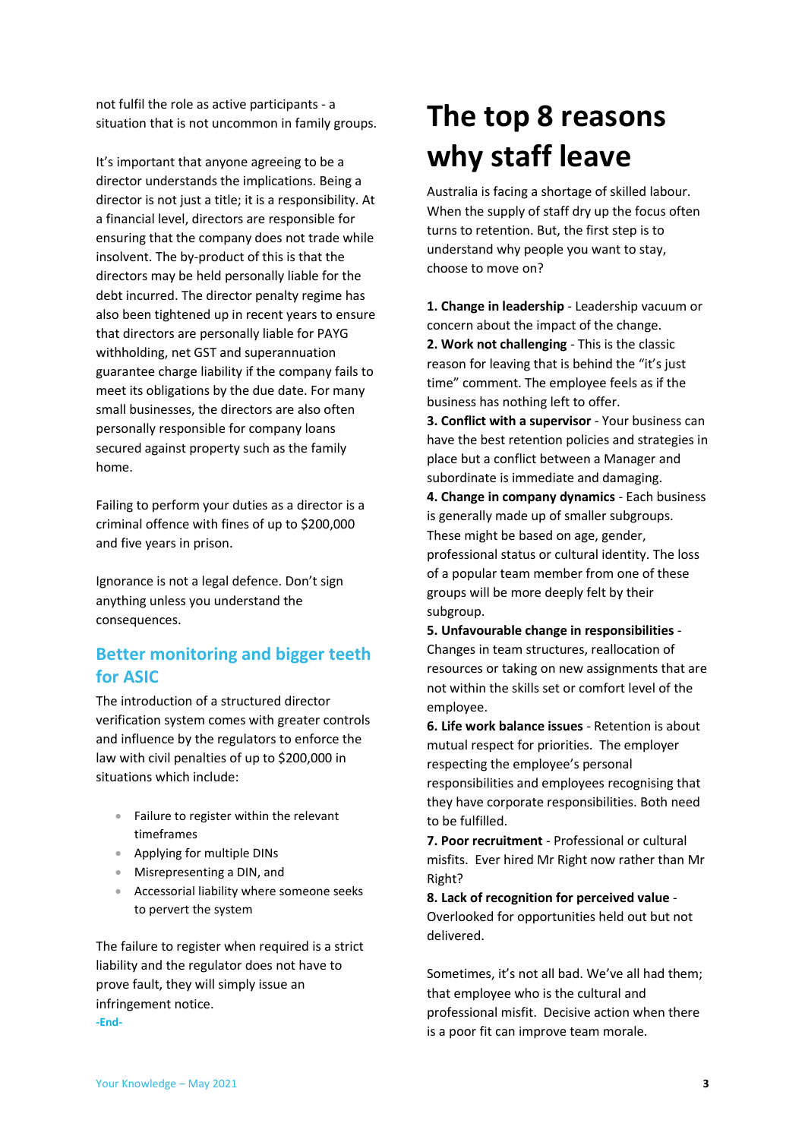not fulfil the role as active participants - a situation that is not uncommon in family groups.

It's important that anyone agreeing to be a director understands the implications. Being a director is not just a title; it is a responsibility. At a financial level, directors are responsible for ensuring that the company does not trade while insolvent. The by-product of this is that the directors may be held personally liable for the debt incurred. The director penalty regime has also been tightened up in recent years to ensure that directors are personally liable for PAYG withholding, net GST and superannuation guarantee charge liability if the company fails to meet its obligations by the due date. For many small businesses, the directors are also often personally responsible for company loans secured against property such as the family home.

Failing to perform your duties as a director is a criminal offence with fines of up to \$200,000 and five years in prison.

Ignorance is not a legal defence. Don't sign anything unless you understand the consequences.

## <span id="page-2-0"></span>**Better monitoring and bigger teeth for ASIC**

The introduction of a structured director verification system comes with greater controls and influence by the regulators to enforce the law with civil penalties of up to \$200,000 in situations which include:

- Failure to register within the relevant timeframes
- Applying for multiple DINs
- Misrepresenting a DIN, and
- Accessorial liability where someone seeks to pervert the system

The failure to register when required is a strict liability and the regulator does not have to prove fault, they will simply issue an infringement notice. **-End-**

## <span id="page-2-1"></span>**The top 8 reasons why staff leave**

Australia is facing a shortage of skilled labour. When the supply of staff dry up the focus often turns to retention. But, the first step is to understand why people you want to stay, choose to move on?

**1. Change in leadership** - Leadership vacuum or concern about the impact of the change. **2. Work not challenging** - This is the classic reason for leaving that is behind the "it's just time" comment. The employee feels as if the business has nothing left to offer.

**3. Conflict with a supervisor** - Your business can have the best retention policies and strategies in place but a conflict between a Manager and subordinate is immediate and damaging.

**4. Change in company dynamics** - Each business is generally made up of smaller subgroups. These might be based on age, gender, professional status or cultural identity. The loss of a popular team member from one of these groups will be more deeply felt by their subgroup.

**5. Unfavourable change in responsibilities** - Changes in team structures, reallocation of resources or taking on new assignments that are not within the skills set or comfort level of the employee.

**6. Life work balance issues** - Retention is about mutual respect for priorities. The employer respecting the employee's personal responsibilities and employees recognising that they have corporate responsibilities. Both need to be fulfilled.

**7. Poor recruitment** - Professional or cultural misfits. Ever hired Mr Right now rather than Mr Right?

**8. Lack of recognition for perceived value** - Overlooked for opportunities held out but not delivered.

Sometimes, it's not all bad. We've all had them; that employee who is the cultural and professional misfit. Decisive action when there is a poor fit can improve team morale.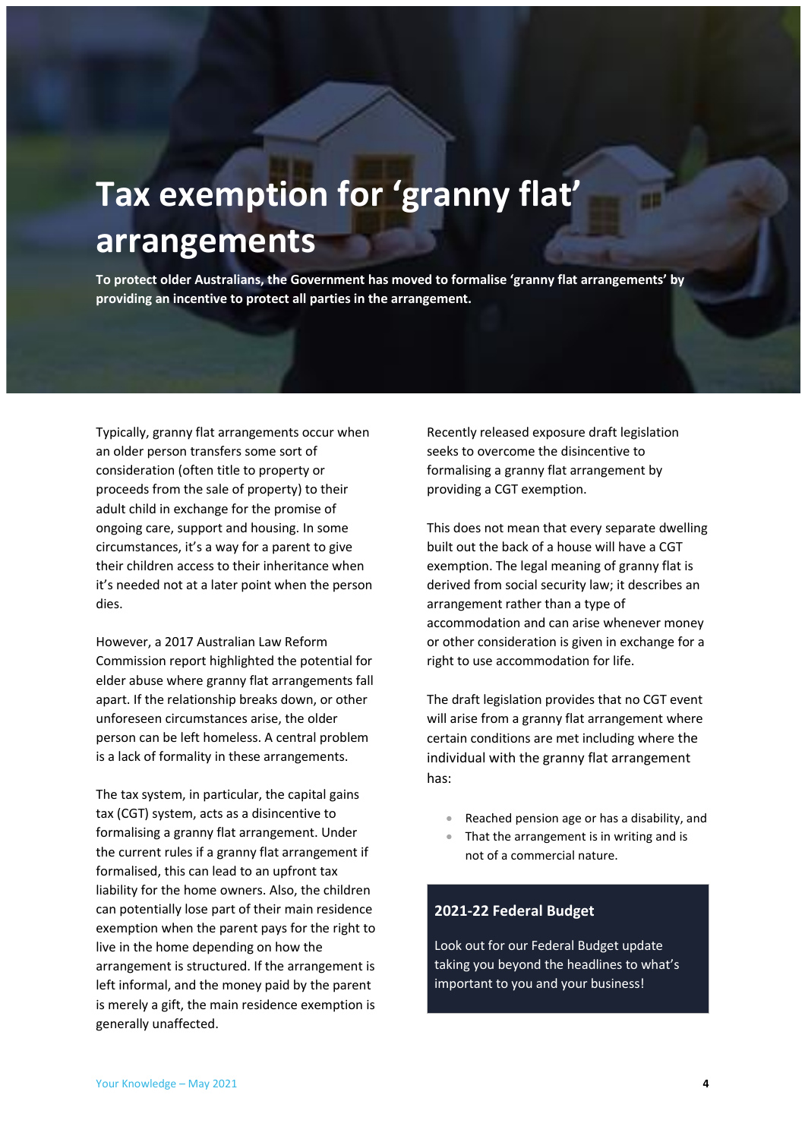## <span id="page-3-0"></span>**Tax exemption for 'granny flat' arrangements**

**To protect older Australians, the Government has moved to formalise 'granny flat arrangements' by providing an incentive to protect all parties in the arrangement.**

Typically, granny flat arrangements occur when an older person transfers some sort of consideration (often title to property or proceeds from the sale of property) to their adult child in exchange for the promise of ongoing care, support and housing. In some circumstances, it's a way for a parent to give their children access to their inheritance when it's needed not at a later point when the person dies.

However, a 2017 Australian Law Reform Commission report highlighted the potential for elder abuse where granny flat arrangements fall apart. If the relationship breaks down, or other unforeseen circumstances arise, the older person can be left homeless. A central problem is a lack of formality in these arrangements.

The tax system, in particular, the capital gains tax (CGT) system, acts as a disincentive to formalising a granny flat arrangement. Under the current rules if a granny flat arrangement if formalised, this can lead to an upfront tax liability for the home owners. Also, the children can potentially lose part of their main residence exemption when the parent pays for the right to live in the home depending on how the arrangement is structured. If the arrangement is left informal, and the money paid by the parent is merely a gift, the main residence exemption is generally unaffected.

Recently released exposure draft legislation seeks to overcome the disincentive to formalising a granny flat arrangement by providing a CGT exemption.

This does not mean that every separate dwelling built out the back of a house will have a CGT exemption. The legal meaning of granny flat is derived from social security law; it describes an arrangement rather than a type of accommodation and can arise whenever money or other consideration is given in exchange for a right to use accommodation for life.

The draft legislation provides that no CGT event will arise from a granny flat arrangement where certain conditions are met including where the individual with the granny flat arrangement has:

- Reached pension age or has a disability, and
- That the arrangement is in writing and is not of a commercial nature.

#### <span id="page-3-1"></span>**2021-22 Federal Budget**

Look out for our Federal Budget update taking you beyond the headlines to what's important to you and your business!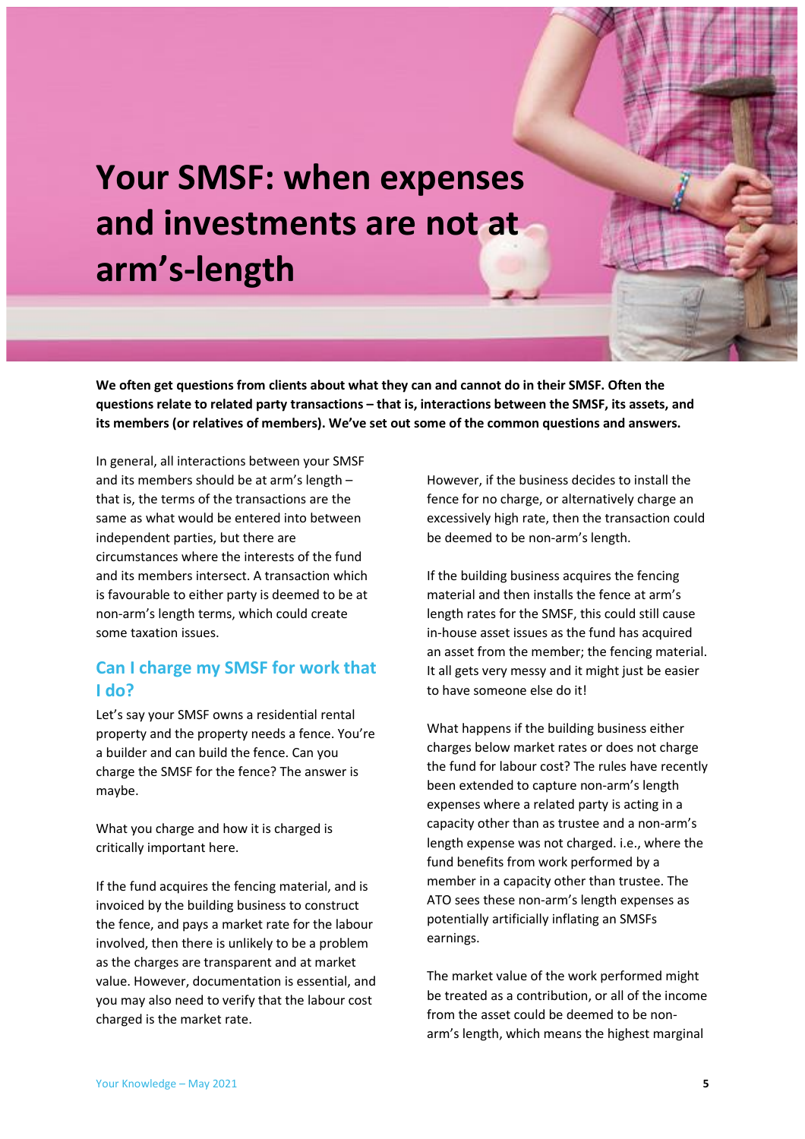## <span id="page-4-0"></span>**Your SMSF: when expenses and investments are not at arm's-length**

**We often get questions from clients about what they can and cannot do in their SMSF. Often the questions relate to related party transactions – that is, interactions between the SMSF, its assets, and its members (or relatives of members). We've set out some of the common questions and answers.**

In general, all interactions between your SMSF and its members should be at arm's length – that is, the terms of the transactions are the same as what would be entered into between independent parties, but there are circumstances where the interests of the fund and its members intersect. A transaction which is favourable to either party is deemed to be at non-arm's length terms, which could create some taxation issues.

## <span id="page-4-1"></span>**Can I charge my SMSF for work that I do?**

Let's say your SMSF owns a residential rental property and the property needs a fence. You're a builder and can build the fence. Can you charge the SMSF for the fence? The answer is maybe.

What you charge and how it is charged is critically important here.

If the fund acquires the fencing material, and is invoiced by the building business to construct the fence, and pays a market rate for the labour involved, then there is unlikely to be a problem as the charges are transparent and at market value. However, documentation is essential, and you may also need to verify that the labour cost charged is the market rate.

However, if the business decides to install the fence for no charge, or alternatively charge an excessively high rate, then the transaction could be deemed to be non-arm's length.

If the building business acquires the fencing material and then installs the fence at arm's length rates for the SMSF, this could still cause in-house asset issues as the fund has acquired an asset from the member; the fencing material. It all gets very messy and it might just be easier to have someone else do it!

What happens if the building business either charges below market rates or does not charge the fund for labour cost? The rules have recently been extended to capture non-arm's length expenses where a related party is acting in a capacity other than as trustee and a non-arm's length expense was not charged. i.e., where the fund benefits from work performed by a member in a capacity other than trustee. The ATO sees these non-arm's length expenses as potentially artificially inflating an SMSFs earnings.

The market value of the work performed might be treated as a contribution, or all of the income from the asset could be deemed to be nonarm's length, which means the highest marginal